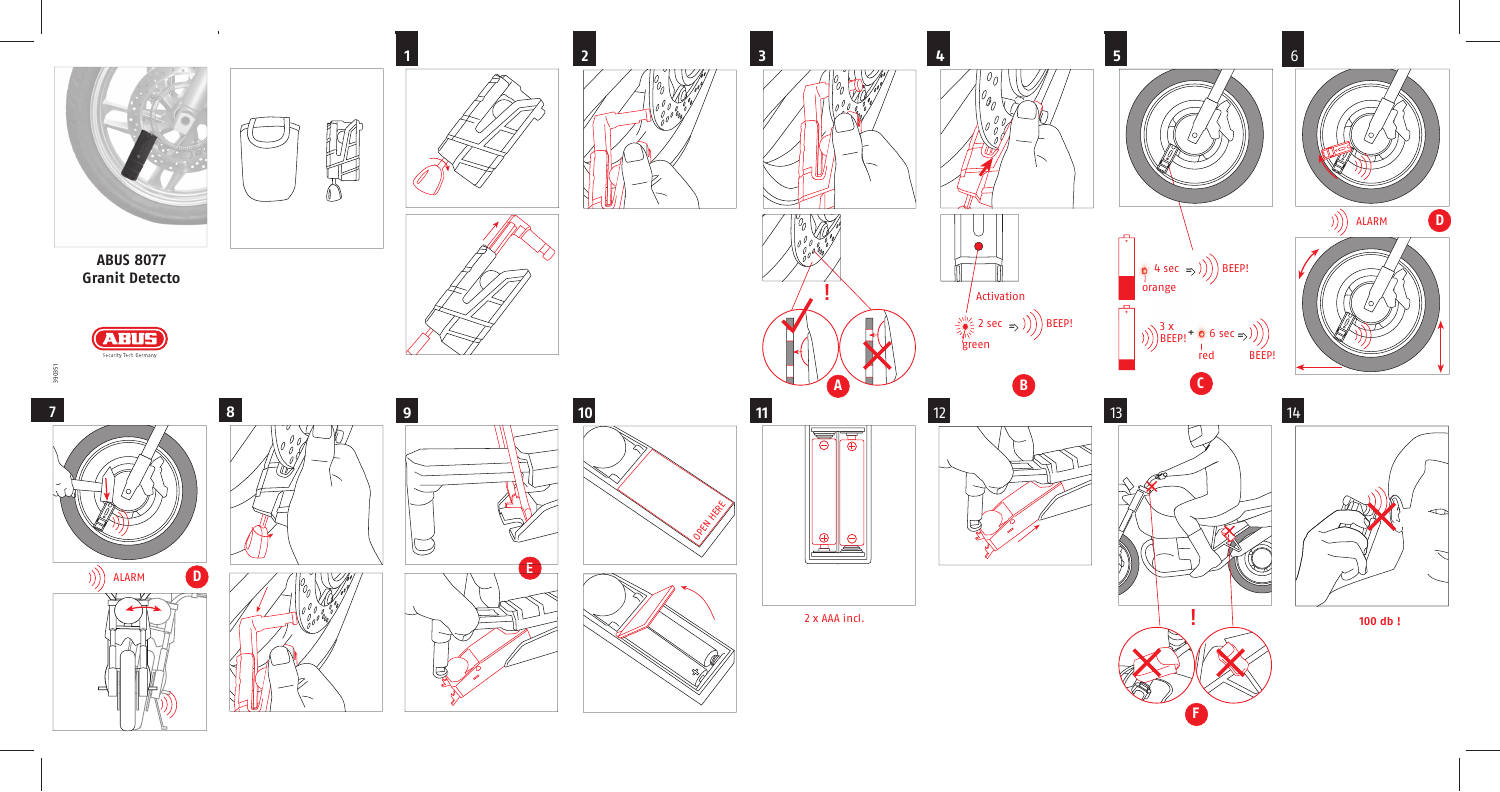

 $\mathbf{u}$  .

**2**

**3**

**B**





**3**

**ABUS 8077 Granit Detecto**



390351



**1**

**4**

**!**



**A**

П





2 x AAA incl.